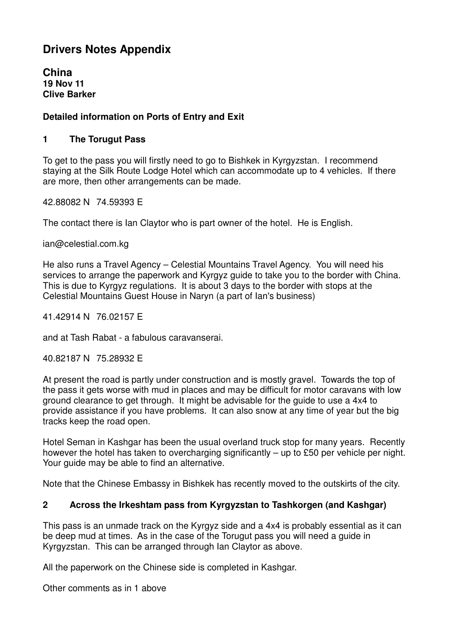# **Drivers Notes Appendix**

**China 19 Nov 11 Clive Barker** 

### **Detailed information on Ports of Entry and Exit**

#### **1 The Torugut Pass**

To get to the pass you will firstly need to go to Bishkek in Kyrgyzstan. I recommend staying at the Silk Route Lodge Hotel which can accommodate up to 4 vehicles. If there are more, then other arrangements can be made.

42.88082 N 74.59393 E

The contact there is Ian Claytor who is part owner of the hotel. He is English.

ian@celestial.com.kg

He also runs a Travel Agency – Celestial Mountains Travel Agency. You will need his services to arrange the paperwork and Kyrgyz guide to take you to the border with China. This is due to Kyrgyz regulations. It is about 3 days to the border with stops at the Celestial Mountains Guest House in Naryn (a part of Ian's business)

41.42914 N 76.02157 E

and at Tash Rabat - a fabulous caravanserai.

40.82187 N 75.28932 E

At present the road is partly under construction and is mostly gravel. Towards the top of the pass it gets worse with mud in places and may be difficult for motor caravans with low ground clearance to get through. It might be advisable for the guide to use a 4x4 to provide assistance if you have problems. It can also snow at any time of year but the big tracks keep the road open.

Hotel Seman in Kashgar has been the usual overland truck stop for many years. Recently however the hotel has taken to overcharging significantly – up to £50 per vehicle per night. Your guide may be able to find an alternative.

Note that the Chinese Embassy in Bishkek has recently moved to the outskirts of the city.

#### **2 Across the Irkeshtam pass from Kyrgyzstan to Tashkorgen (and Kashgar)**

This pass is an unmade track on the Kyrgyz side and a 4x4 is probably essential as it can be deep mud at times. As in the case of the Torugut pass you will need a guide in Kyrgyzstan. This can be arranged through Ian Claytor as above.

All the paperwork on the Chinese side is completed in Kashgar.

Other comments as in 1 above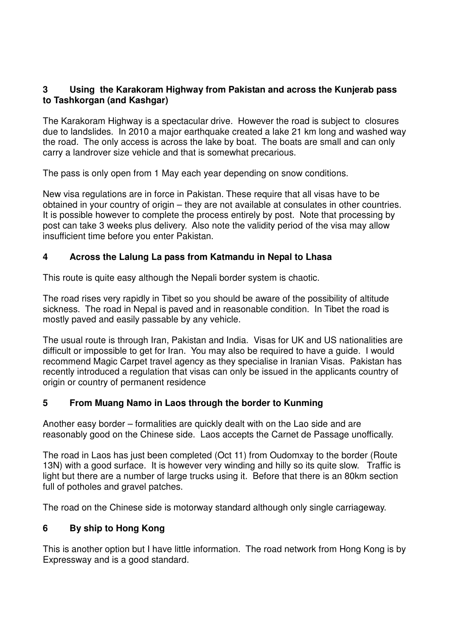#### **3 Using the Karakoram Highway from Pakistan and across the Kunjerab pass to Tashkorgan (and Kashgar)**

The Karakoram Highway is a spectacular drive. However the road is subject to closures due to landslides. In 2010 a major earthquake created a lake 21 km long and washed way the road. The only access is across the lake by boat. The boats are small and can only carry a landrover size vehicle and that is somewhat precarious.

The pass is only open from 1 May each year depending on snow conditions.

New visa regulations are in force in Pakistan. These require that all visas have to be obtained in your country of origin – they are not available at consulates in other countries. It is possible however to complete the process entirely by post. Note that processing by post can take 3 weeks plus delivery. Also note the validity period of the visa may allow insufficient time before you enter Pakistan.

#### **4 Across the Lalung La pass from Katmandu in Nepal to Lhasa**

This route is quite easy although the Nepali border system is chaotic.

The road rises very rapidly in Tibet so you should be aware of the possibility of altitude sickness. The road in Nepal is paved and in reasonable condition. In Tibet the road is mostly paved and easily passable by any vehicle.

The usual route is through Iran, Pakistan and India. Visas for UK and US nationalities are difficult or impossible to get for Iran. You may also be required to have a guide. I would recommend Magic Carpet travel agency as they specialise in Iranian Visas. Pakistan has recently introduced a regulation that visas can only be issued in the applicants country of origin or country of permanent residence

#### **5 From Muang Namo in Laos through the border to Kunming**

Another easy border – formalities are quickly dealt with on the Lao side and are reasonably good on the Chinese side. Laos accepts the Carnet de Passage unoffically.

The road in Laos has just been completed (Oct 11) from Oudomxay to the border (Route 13N) with a good surface. It is however very winding and hilly so its quite slow. Traffic is light but there are a number of large trucks using it. Before that there is an 80km section full of potholes and gravel patches.

The road on the Chinese side is motorway standard although only single carriageway.

#### **6 By ship to Hong Kong**

This is another option but I have little information. The road network from Hong Kong is by Expressway and is a good standard.